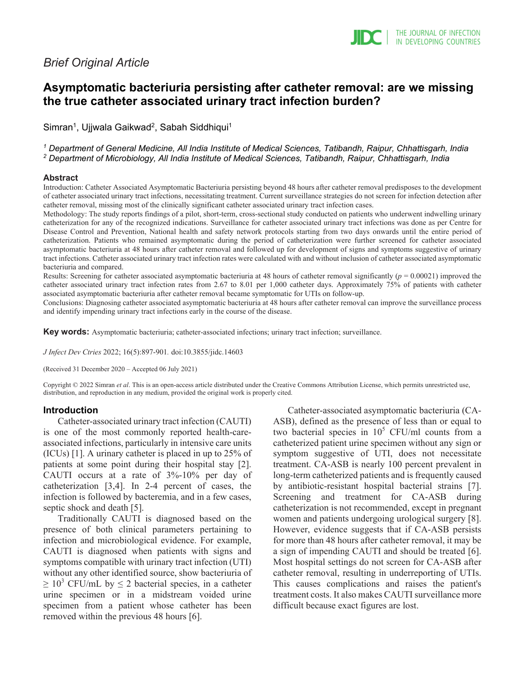## *Brief Original Article*

# **Asymptomatic bacteriuria persisting after catheter removal: are we missing the true catheter associated urinary tract infection burden?**

Simran<sup>1</sup>, Ujjwala Gaikwad<sup>2</sup>, Sabah Siddhiqui<sup>1</sup>

*<sup>1</sup> Department of General Medicine, All India Institute of Medical Sciences, Tatibandh, Raipur, Chhattisgarh, India <sup>2</sup> Department of Microbiology, All India Institute of Medical Sciences, Tatibandh, Raipur, Chhattisgarh, India*

### **Abstract**

Introduction: Catheter Associated Asymptomatic Bacteriuria persisting beyond 48 hours after catheter removal predisposes to the development of catheter associated urinary tract infections, necessitating treatment. Current surveillance strategies do not screen for infection detection after catheter removal, missing most of the clinically significant catheter associated urinary tract infection cases.

Methodology: The study reports findings of a pilot, short-term, cross-sectional study conducted on patients who underwent indwelling urinary catheterization for any of the recognized indications. Surveillance for catheter associated urinary tract infections was done as per Centre for Disease Control and Prevention, National health and safety network protocols starting from two days onwards until the entire period of catheterization. Patients who remained asymptomatic during the period of catheterization were further screened for catheter associated asymptomatic bacteriuria at 48 hours after catheter removal and followed up for development of signs and symptoms suggestive of urinary tract infections. Catheter associated urinary tract infection rates were calculated with and without inclusion of catheter associated asymptomatic bacteriuria and compared.

Results: Screening for catheter associated asymptomatic bacteriuria at 48 hours of catheter removal significantly (*p* = 0.00021) improved the catheter associated urinary tract infection rates from 2.67 to 8.01 per 1,000 catheter days. Approximately 75% of patients with catheter associated asymptomatic bacteriuria after catheter removal became symptomatic for UTIs on follow-up.

Conclusions: Diagnosing catheter associated asymptomatic bacteriuria at 48 hours after catheter removal can improve the surveillance process and identify impending urinary tract infections early in the course of the disease.

**Key words:** Asymptomatic bacteriuria; catheter-associated infections; urinary tract infection; surveillance.

*J Infect Dev Ctries* 2022; 16(5):897-901*.* doi:10.3855/jidc.14603

(Received 31 December 2020 – Accepted 06 July 2021)

Copyright © 2022 Simran *et al*. This is an open-access article distributed under the Creative Commons Attribution License, which permits unrestricted use, distribution, and reproduction in any medium, provided the original work is properly cited.

## **Introduction**

Catheter-associated urinary tract infection (CAUTI) is one of the most commonly reported health-careassociated infections, particularly in intensive care units (ICUs) [1]. A urinary catheter is placed in up to 25% of patients at some point during their hospital stay [2]. CAUTI occurs at a rate of 3%-10% per day of catheterization [3,4]. In 2-4 percent of cases, the infection is followed by bacteremia, and in a few cases, septic shock and death [5].

Traditionally CAUTI is diagnosed based on the presence of both clinical parameters pertaining to infection and microbiological evidence. For example, CAUTI is diagnosed when patients with signs and symptoms compatible with urinary tract infection (UTI) without any other identified source, show bacteriuria of  $\geq 10^3$  CFU/mL by  $\leq 2$  bacterial species, in a catheter urine specimen or in a midstream voided urine specimen from a patient whose catheter has been removed within the previous 48 hours [6].

Catheter-associated asymptomatic bacteriuria (CA-ASB), defined as the presence of less than or equal to two bacterial species in  $10^5$  CFU/ml counts from a catheterized patient urine specimen without any sign or symptom suggestive of UTI, does not necessitate treatment. CA-ASB is nearly 100 percent prevalent in long-term catheterized patients and is frequently caused by antibiotic-resistant hospital bacterial strains [7]. Screening and treatment for CA-ASB during catheterization is not recommended, except in pregnant women and patients undergoing urological surgery [8]. However, evidence suggests that if CA-ASB persists for more than 48 hours after catheter removal, it may be a sign of impending CAUTI and should be treated [6]. Most hospital settings do not screen for CA-ASB after catheter removal, resulting in underreporting of UTIs. This causes complications and raises the patient's treatment costs. It also makes CAUTI surveillance more difficult because exact figures are lost.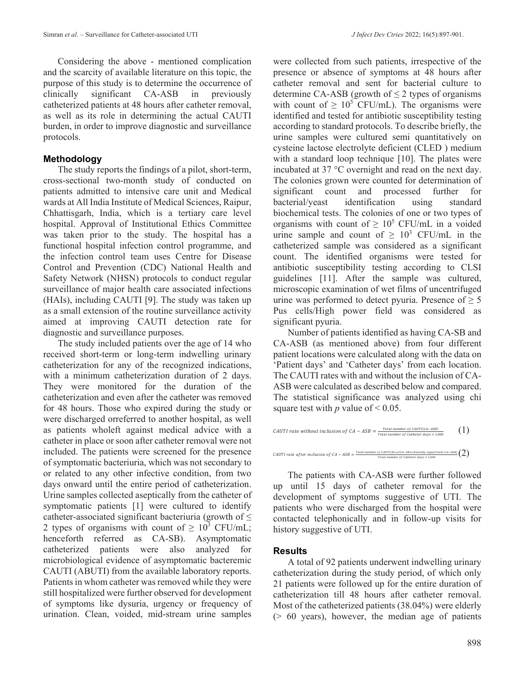Considering the above - mentioned complication and the scarcity of available literature on this topic, the purpose of this study is to determine the occurrence of clinically significant CA-ASB in previously catheterized patients at 48 hours after catheter removal, as well as its role in determining the actual CAUTI burden, in order to improve diagnostic and surveillance protocols.

## **Methodology**

The study reports the findings of a pilot, short-term, cross-sectional two-month study of conducted on patients admitted to intensive care unit and Medical wards at All India Institute of Medical Sciences, Raipur, Chhattisgarh, India, which is a tertiary care level hospital. Approval of Institutional Ethics Committee was taken prior to the study. The hospital has a functional hospital infection control programme, and the infection control team uses Centre for Disease Control and Prevention (CDC) National Health and Safety Network (NHSN) protocols to conduct regular surveillance of major health care associated infections (HAIs), including CAUTI [9]. The study was taken up as a small extension of the routine surveillance activity aimed at improving CAUTI detection rate for diagnostic and surveillance purposes.

The study included patients over the age of 14 who received short-term or long-term indwelling urinary catheterization for any of the recognized indications, with a minimum catheterization duration of 2 days. They were monitored for the duration of the catheterization and even after the catheter was removed for 48 hours. Those who expired during the study or were discharged orreferred to another hospital, as well as patients wholeft against medical advice with a catheter in place or soon after catheter removal were not included. The patients were screened for the presence of symptomatic bacteriuria, which was not secondary to or related to any other infective condition, from two days onward until the entire period of catheterization. Urine samples collected aseptically from the catheter of symptomatic patients [1] were cultured to identify catheter-associated significant bacteriuria (growth of  $\leq$ 2 types of organisms with count of  $\geq 10^3$  CFU/mL; henceforth referred as CA-SB). Asymptomatic catheterized patients were also analyzed for microbiological evidence of asymptomatic bacteremic CAUTI (ABUTI) from the available laboratory reports. Patients in whom catheter was removed while they were still hospitalized were further observed for development of symptoms like dysuria, urgency or frequency of urination. Clean, voided, mid-stream urine samples

were collected from such patients, irrespective of the presence or absence of symptoms at 48 hours after catheter removal and sent for bacterial culture to determine CA-ASB (growth of  $\leq$  2 types of organisms with count of  $\geq 10^5$  CFU/mL). The organisms were identified and tested for antibiotic susceptibility testing according to standard protocols. To describe briefly, the urine samples were cultured semi quantitatively on cysteine lactose electrolyte deficient (CLED ) medium with a standard loop technique [10]. The plates were incubated at 37 °C overnight and read on the next day. The colonies grown were counted for determination of significant count and processed further for bacterial/yeast identification using standard biochemical tests. The colonies of one or two types of organisms with count of  $\geq 10^5$  CFU/mL in a voided urine sample and count of  $\geq 10^3$  CFU/mL in the catheterized sample was considered as a significant count. The identified organisms were tested for antibiotic susceptibility testing according to CLSI guidelines [11]. After the sample was cultured, microscopic examination of wet films of uncentrifuged urine was performed to detect pyuria. Presence of  $\geq 5$ Pus cells/High power field was considered as significant pyuria.

Number of patients identified as having CA-SB and CA-ASB (as mentioned above) from four different patient locations were calculated along with the data on 'Patient days' and 'Catheter days' from each location. The CAUTI rates with and without the inclusion of CA-ASB were calculated as described below and compared. The statistical significance was analyzed using chi square test with *p* value of  $\leq 0.05$ .

CAUTI rate without inclusion of 
$$
CA - ASB = \frac{Total number of CAUTI(CA-ASB)}{Total number of Catherine of A} \tbinom{1}{1}
$$
  
\nCAUTI rate after inclusion of  $CA - ASB = \frac{Total number of AATT(No of CA-SB + clinicaly significant CA-ASB)}{Total number of Catherine A} \tbinom{2}{2}$ 

The patients with CA-ASB were further followed up until 15 days of catheter removal for the development of symptoms suggestive of UTI. The patients who were discharged from the hospital were contacted telephonically and in follow-up visits for history suggestive of UTI.

## **Results**

A total of 92 patients underwent indwelling urinary catheterization during the study period, of which only 21 patients were followed up for the entire duration of catheterization till 48 hours after catheter removal. Most of the catheterized patients (38.04%) were elderly (> 60 years), however, the median age of patients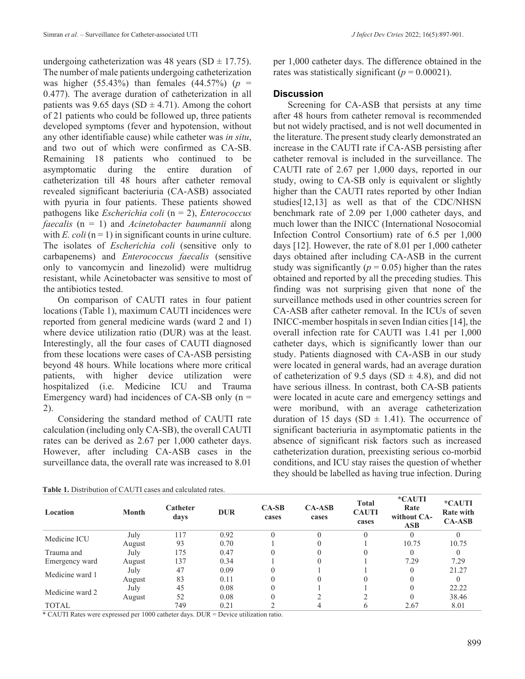undergoing catheterization was 48 years (SD  $\pm$  17.75). The number of male patients undergoing catheterization was higher (55.43%) than females (44.57%) ( $p =$ 0.477). The average duration of catheterization in all patients was 9.65 days (SD  $\pm$  4.71). Among the cohort of 21 patients who could be followed up, three patients developed symptoms (fever and hypotension, without any other identifiable cause) while catheter was *in situ*, and two out of which were confirmed as CA-SB. Remaining 18 patients who continued to be asymptomatic during the entire duration of catheterization till 48 hours after catheter removal revealed significant bacteriuria (CA-ASB) associated with pyuria in four patients. These patients showed pathogens like *Escherichia coli* (n = 2), *Enterococcus faecalis* (n = 1) and *Acinetobacter baumannii* along with *E. coli*  $(n = 1)$  in significant counts in urine culture. The isolates of *Escherichia coli* (sensitive only to carbapenems) and *Enterococcus faecalis* (sensitive only to vancomycin and linezolid) were multidrug resistant, while Acinetobacter was sensitive to most of the antibiotics tested.

On comparison of CAUTI rates in four patient locations (Table 1), maximum CAUTI incidences were reported from general medicine wards (ward 2 and 1) where device utilization ratio (DUR) was at the least. Interestingly, all the four cases of CAUTI diagnosed from these locations were cases of CA-ASB persisting beyond 48 hours. While locations where more critical patients, with higher device utilization were hospitalized (i.e. Medicine ICU and Trauma Emergency ward) had incidences of CA-SB only  $(n =$ 2).

Considering the standard method of CAUTI rate calculation (including only CA-SB), the overall CAUTI rates can be derived as 2.67 per 1,000 catheter days. However, after including CA-ASB cases in the surveillance data, the overall rate was increased to 8.01 per 1,000 catheter days. The difference obtained in the rates was statistically significant ( $p = 0.00021$ ).

## **Discussion**

Screening for CA-ASB that persists at any time after 48 hours from catheter removal is recommended but not widely practised, and is not well documented in the literature. The present study clearly demonstrated an increase in the CAUTI rate if CA-ASB persisting after catheter removal is included in the surveillance. The CAUTI rate of 2.67 per 1,000 days, reported in our study, owing to CA-SB only is equivalent or slightly higher than the CAUTI rates reported by other Indian studies[12,13] as well as that of the CDC/NHSN benchmark rate of 2.09 per 1,000 catheter days, and much lower than the INICC (International Nosocomial Infection Control Consortium) rate of 6.5 per 1,000 days [12]. However, the rate of 8.01 per 1,000 catheter days obtained after including CA-ASB in the current study was significantly ( $p = 0.05$ ) higher than the rates obtained and reported by all the preceding studies. This finding was not surprising given that none of the surveillance methods used in other countries screen for CA-ASB after catheter removal. In the ICUs of seven INICC-member hospitals in seven Indian cities [14], the overall infection rate for CAUTI was 1.41 per 1,000 catheter days, which is significantly lower than our study. Patients diagnosed with CA-ASB in our study were located in general wards, had an average duration of catheterization of 9.5 days (SD  $\pm$  4.8), and did not have serious illness. In contrast, both CA-SB patients were located in acute care and emergency settings and were moribund, with an average catheterization duration of 15 days (SD  $\pm$  1.41). The occurrence of significant bacteriuria in asymptomatic patients in the absence of significant risk factors such as increased catheterization duration, preexisting serious co-morbid conditions, and ICU stay raises the question of whether they should be labelled as having true infection. During

| Location        | Month  | Catheter<br>days | <b>DUR</b> | $CA-SB$<br>cases | $CA-ASB$<br>cases | <b>Total</b><br><b>CAUTI</b><br>cases | *CAUTI<br>Rate<br>without CA-<br><b>ASB</b> | *CAUTI<br><b>Rate with</b><br>$CA-ASB$ |
|-----------------|--------|------------------|------------|------------------|-------------------|---------------------------------------|---------------------------------------------|----------------------------------------|
| Medicine ICU    | July   | 117              | 0.92       | $\theta$         |                   |                                       |                                             |                                        |
|                 | August | 93               | 0.70       |                  |                   |                                       | 10.75                                       | 10.75                                  |
| Trauma and      | July   | 175              | 0.47       |                  |                   |                                       |                                             |                                        |
| Emergency ward  | August | 137              | 0.34       |                  |                   |                                       | 7.29                                        | 7.29                                   |
| Medicine ward 1 | July   | 47               | 0.09       |                  |                   |                                       |                                             | 21.27                                  |
|                 | August | 83               | 0.11       |                  |                   |                                       |                                             |                                        |
| Medicine ward 2 | July   | 45               | 0.08       |                  |                   |                                       |                                             | 22.22                                  |
|                 | August | 52               | 0.08       |                  |                   |                                       |                                             | 38.46                                  |
| <b>TOTAL</b>    |        | 749              | 0.21       |                  |                   |                                       | 2.67                                        | 8.01                                   |

**Table 1.** Distribution of CAUTI cases and calculated rates.

\* CAUTI Rates were expressed per 1000 catheter days. DUR = Device utilization ratio.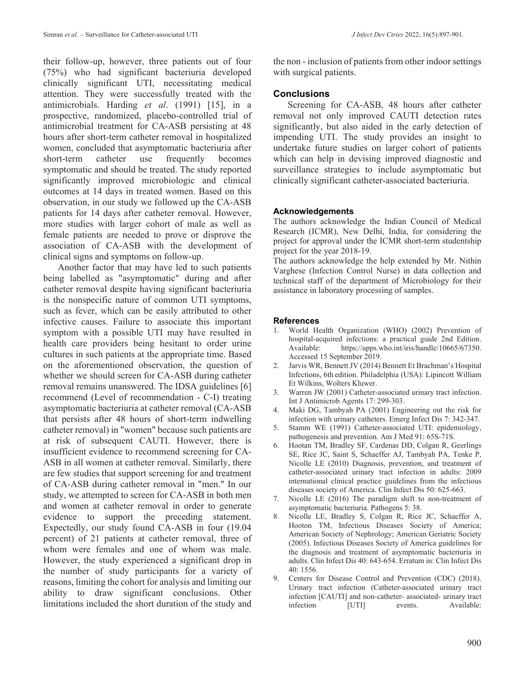their follow-up, however, three patients out of four (75%) who had significant bacteriuria developed clinically significant UTI, necessitating medical attention. They were successfully treated with the antimicrobials. Harding *et al*. (1991) [15], in a prospective, randomized, placebo-controlled trial of antimicrobial treatment for CA-ASB persisting at 48 hours after short-term catheter removal in hospitalized women, concluded that asymptomatic bacteriuria after short-term catheter use frequently becomes symptomatic and should be treated. The study reported significantly improved microbiologic and clinical outcomes at 14 days in treated women. Based on this observation, in our study we followed up the CA-ASB patients for 14 days after catheter removal. However, more studies with larger cohort of male as well as female patients are needed to prove or disprove the association of CA-ASB with the development of clinical signs and symptoms on follow-up.

Another factor that may have led to such patients being labelled as "asymptomatic" during and after catheter removal despite having significant bacteriuria is the nonspecific nature of common UTI symptoms, such as fever, which can be easily attributed to other infective causes. Failure to associate this important symptom with a possible UTI may have resulted in health care providers being hesitant to order urine cultures in such patients at the appropriate time. Based on the aforementioned observation, the question of whether we should screen for CA-ASB during catheter removal remains unanswered. The IDSA guidelines [6] recommend (Level of recommendation - C-I) treating asymptomatic bacteriuria at catheter removal (CA-ASB that persists after 48 hours of short-term indwelling catheter removal) in "women" because such patients are at risk of subsequent CAUTI. However, there is insufficient evidence to recommend screening for CA-ASB in all women at catheter removal. Similarly, there are few studies that support screening for and treatment of CA-ASB during catheter removal in "men." In our study, we attempted to screen for CA-ASB in both men and women at catheter removal in order to generate evidence to support the preceding statement. Expectedly, our study found CA-ASB in four (19.04 percent) of 21 patients at catheter removal, three of whom were females and one of whom was male. However, the study experienced a significant drop in the number of study participants for a variety of reasons, limiting the cohort for analysis and limiting our ability to draw significant conclusions. Other limitations included the short duration of the study and

the non - inclusion of patients from other indoor settings with surgical patients.

## **Conclusions**

Screening for CA-ASB, 48 hours after catheter removal not only improved CAUTI detection rates significantly, but also aided in the early detection of impending UTI. The study provides an insight to undertake future studies on larger cohort of patients which can help in devising improved diagnostic and surveillance strategies to include asymptomatic but clinically significant catheter-associated bacteriuria.

## **Acknowledgements**

The authors acknowledge the Indian Council of Medical Research (ICMR), New Delhi, India, for considering the project for approval under the ICMR short-term studentship project for the year 2018-19.

The authors acknowledge the help extended by Mr. Nithin Varghese (Infection Control Nurse) in data collection and technical staff of the department of Microbiology for their assistance in laboratory processing of samples.

### **References**

- World Health Organization (WHO) (2002) Prevention of hospital-acquired infections: a practical guide 2nd Edition. Available: https://apps.who.int/iris/handle/10665/67350. Accessed 15 September 2019.
- 2. Jarvis WR, Bennett JV (2014) Bennett Et Brachman's Hospital Infections, 6th edition. Philadelphia (USA): Lipincott William Et Wilkins, Wolters Kluwer.
- 3. Warren JW (2001) Catheter-associated urinary tract infection. Int J Antimicrob Agents 17: 299-303.
- 4. Maki DG, Tambyah PA (2001) Engineering out the risk for infection with urinary catheters. Emerg Infect Dis 7: 342-347.
- 5. Stamm WE (1991) Catheter-associated UTI: epidemiology, pathogenesis and prevention. Am J Med 91: 65S-71S.
- 6. Hootan TM, Bradley SF, Cardenas DD, Colgan R, Geerlings SE, Rice JC, Saint S, Schaeffer AJ, Tambyah PA, Tenke P, Nicolle LE (2010) Diagnosis, prevention, and treatment of catheter-associated urinary tract infection in adults: 2009 international clinical practice guidelines from the infectious diseases society of America. Clin Infect Dis 50: 625-663.
- 7. Nicolle LE (2016) The paradigm shift to non-treatment of asymptomatic bacteriuria. Pathogens 5: 38.
- 8. Nicolle LE, Bradley S, Colgan R, Rice JC, Schaeffer A, Hooton TM, Infectious Diseases Society of America; American Society of Nephrology; American Geriatric Society (2005). Infectious Diseases Society of America guidelines for the diagnosis and treatment of asymptomatic bacteriuria in adults. Clin Infect Dis 40: 643-654. Erratum in: Clin Infect Dis 40: 1556.
- 9. Centers for Disease Control and Prevention (CDC) (2018). Urinary tract infection (Catheter-associated urinary tract infection [CAUTI] and non-catheter- associated- urinary tract infection [UTI] events. Available: